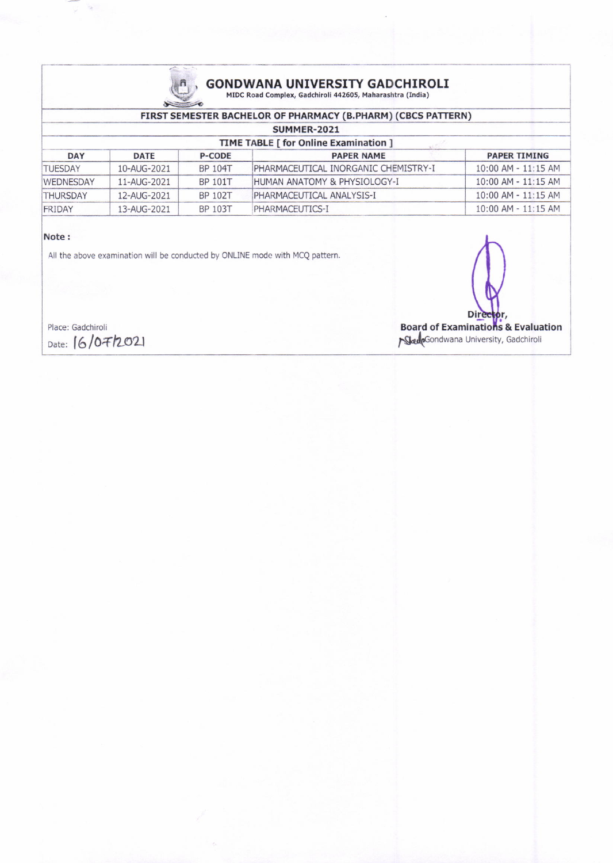

### GONDWANA UNIVERSITY GADCHIROLI<br>MIDC Road Complex, Gadchiroli 442605, Maharashtra (India)

| FIRST SEMESTER BACHELOR OF PHARMACY (B.PHARM) (CBCS PATTERN)<br>SUMMER-2021<br><b>TIME TABLE [ for Online Examination ]</b> |             |                |                              |                         |  |  |  |  |                |             |                |                                      |                         |
|-----------------------------------------------------------------------------------------------------------------------------|-------------|----------------|------------------------------|-------------------------|--|--|--|--|----------------|-------------|----------------|--------------------------------------|-------------------------|
|                                                                                                                             |             |                |                              |                         |  |  |  |  | <b>DAY</b>     | <b>DATE</b> | <b>P-CODE</b>  | <b>PAPER NAME</b>                    | <b>PAPER TIMING</b>     |
|                                                                                                                             |             |                |                              |                         |  |  |  |  | <b>TUESDAY</b> | 10-AUG-2021 | <b>BP 104T</b> | PHARMACEUTICAL INORGANIC CHEMISTRY-I | $10:00$ AM - $11:15$ AM |
| <b>WEDNESDAY</b>                                                                                                            | 11-AUG-2021 | <b>BP 101T</b> | HUMAN ANATOMY & PHYSIOLOGY-I | $10:00$ AM - $11:15$ AM |  |  |  |  |                |             |                |                                      |                         |
| <b>THURSDAY</b>                                                                                                             | 12-AUG-2021 | BP 102T        | PHARMACEUTICAL ANALYSIS-I    | $10:00$ AM - $11:15$ AM |  |  |  |  |                |             |                |                                      |                         |
| FRIDAY                                                                                                                      | 13-AUG-2021 | BP 103T        | PHARMACEUTICS-I              | 10:00 AM - 11:15 AM     |  |  |  |  |                |             |                |                                      |                         |

#### Note:

All the above examination will be conducted by ONLINE mode with MCQ pattem.

Dir Place: Gadchiroli **Board of Examinations & Evaluation**<br>Date: (6/07/2021 **Board of Examinations & Evaluation SkulpGondwana University, Gadchiroli**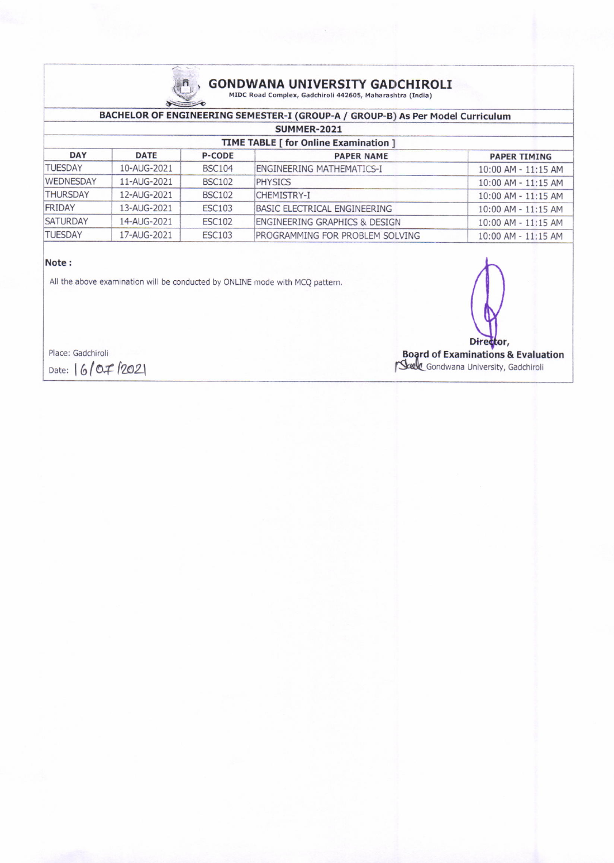

## **GONDWANA UNIVERSITY GADCHIROLI**<br>MIDC Road Complex, Gadchiroli 442605, Maharashtra (India)

| BACHELOR OF ENGINEERING SEMESTER-I (GROUP-A / GROUP-B) As Per Model Curriculum |             |               |                                          |                         |  |  |  |
|--------------------------------------------------------------------------------|-------------|---------------|------------------------------------------|-------------------------|--|--|--|
| <b>SUMMER-2021</b><br>TIME TABLE [ for Online Examination ]                    |             |               |                                          |                         |  |  |  |
|                                                                                |             |               |                                          |                         |  |  |  |
| <b>TUESDAY</b>                                                                 | 10-AUG-2021 | <b>BSC104</b> | <b>ENGINEERING MATHEMATICS-I</b>         | 10:00 AM - 11:15 AM     |  |  |  |
| <b>WEDNESDAY</b>                                                               | 11-AUG-2021 | <b>BSC102</b> | <b>PHYSICS</b>                           | $10:00$ AM - $11:15$ AM |  |  |  |
| <b>THURSDAY</b>                                                                | 12-AUG-2021 | <b>BSC102</b> | CHEMISTRY-I                              | $10:00$ AM - $11:15$ AM |  |  |  |
| FRIDAY                                                                         | 13-AUG-2021 | <b>ESC103</b> | BASIC ELECTRICAL ENGINEERING             | 10:00 AM - 11:15 AM     |  |  |  |
| <b>SATURDAY</b>                                                                | 14-AUG-2021 | <b>ESC102</b> | <b>ENGINEERING GRAPHICS &amp; DESIGN</b> | $10:00$ AM - $11:15$ AM |  |  |  |
| <b>TUESDAY</b>                                                                 | 17-AUG-2021 | <b>ESC103</b> | PROGRAMMING FOR PROBLEM SOLVING          | $10:00$ AM - $11:15$ AM |  |  |  |

#### Note:

All the above examination will be conducted by ONLINE mode with MCQ pattern.

Place: Gadchiroli Date: 16/07/2021

Director, Board of Examinations & Evaluation<br>
Sector Gondwana University, Gadchiroli